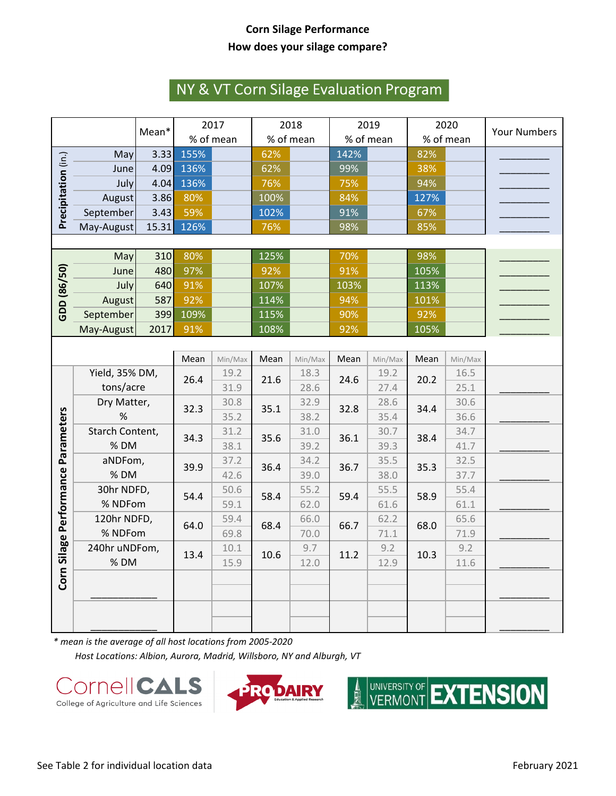## **Corn Silage Performance How does your silage compare?**

## NY & VT Corn Silage Evaluation Program

|                                    |                        |                 | 2017      |         | 2018      |         | 2019      |         | 2020      |         |                     |  |
|------------------------------------|------------------------|-----------------|-----------|---------|-----------|---------|-----------|---------|-----------|---------|---------------------|--|
|                                    |                        | Mean*           | % of mean |         | % of mean |         | % of mean |         | % of mean |         | <b>Your Numbers</b> |  |
| Precipitation (in.)                | May                    | 3.33            | 155%      |         | 62%       |         | 142%      |         | 82%       |         |                     |  |
|                                    | June                   | 4.09            | 136%      |         | 62%       |         | 99%       |         | 38%       |         |                     |  |
|                                    | July                   | 4.04            | 136%      |         | 76%       |         | 75%       |         | 94%       |         |                     |  |
|                                    | August                 | 3.86            | 80%       |         | 100%      |         | 84%       |         | 127%      |         |                     |  |
|                                    | September              | 3.43            | 59%       |         | 102%      |         | 91%       |         | 67%       |         |                     |  |
|                                    | May-August             | 15.31           | 126%      |         | 76%       |         | 98%       |         | 85%       |         |                     |  |
|                                    |                        |                 |           |         |           |         |           |         |           |         |                     |  |
| GDD (86/50)                        | May                    | 310             | 80%       |         | 125%      |         | 70%       |         | 98%       |         |                     |  |
|                                    | June                   | 480             | 97%       |         | 92%       |         | 91%       |         | 105%      |         |                     |  |
|                                    | July                   | 640             | 91%       |         | 107%      |         | 103%      |         | 113%      |         |                     |  |
|                                    | August                 | 587             | 92%       |         | 114%      |         | 94%       |         | 101%      |         |                     |  |
|                                    | September              | 399             | 109%      |         | 115%      |         | 90%       |         | 92%       |         |                     |  |
|                                    | May-August             | 2017            |           |         | 108%      |         | 92%       |         | 105%      |         |                     |  |
|                                    |                        |                 |           |         |           |         |           |         |           |         |                     |  |
|                                    |                        |                 | Mean      | Min/Max | Mean      | Min/Max | Mean      | Min/Max | Mean      | Min/Max |                     |  |
| Corn Silage Performance Parameters | Yield, 35% DM,         |                 | 26.4      | 19.2    | 21.6      | 18.3    | 24.6      | 19.2    | 20.2      | 16.5    |                     |  |
|                                    | tons/acre              |                 |           | 31.9    |           | 28.6    |           | 27.4    |           | 25.1    |                     |  |
|                                    | Dry Matter,            |                 | 32.3      | 30.8    | 35.1      | 32.9    | 32.8      | 28.6    | 34.4      | 30.6    |                     |  |
|                                    | %                      |                 |           | 35.2    |           | 38.2    |           | 35.4    |           | 36.6    |                     |  |
|                                    |                        | Starch Content, |           | 31.2    | 35.6      | 31.0    | 36.1      | 30.7    | 38.4      | 34.7    |                     |  |
|                                    | %DM                    |                 | 34.3      | 38.1    |           | 39.2    |           | 39.3    |           | 41.7    |                     |  |
|                                    |                        | aNDFom,         |           | 37.2    | 36.4      | 34.2    | 36.7      | 35.5    | 35.3      | 32.5    |                     |  |
|                                    | %DM                    |                 | 39.9      | 42.6    |           | 39.0    |           | 38.0    |           | 37.7    |                     |  |
|                                    | 30hr NDFD,             |                 | 54.4      | 50.6    | 58.4      | 55.2    | 59.4      | 55.5    | 58.9      | 55.4    |                     |  |
|                                    |                        | % NDFom         |           | 59.1    |           | 62.0    |           | 61.6    |           | 61.1    |                     |  |
|                                    | 120hr NDFD,<br>% NDFom |                 | 64.0      | 59.4    | 68.4      | 66.0    | 66.7      | 62.2    | 68.0      | 65.6    |                     |  |
|                                    |                        |                 |           | 69.8    |           | 70.0    |           | 71.1    |           | 71.9    |                     |  |
|                                    | 240hr uNDFom,          |                 | 13.4      | 10.1    | 10.6      | 9.7     | 11.2      | 9.2     | 10.3      | 9.2     |                     |  |
|                                    |                        | %DM             |           | 15.9    |           | 12.0    |           | 12.9    |           | 11.6    |                     |  |
|                                    |                        |                 |           |         |           |         |           |         |           |         |                     |  |
|                                    |                        |                 |           |         |           |         |           |         |           |         |                     |  |
|                                    |                        |                 |           |         |           |         |           |         |           |         |                     |  |
|                                    |                        |                 |           |         |           |         |           |         |           |         |                     |  |

*\* mean is the average of all host locations from 2005-2020 Host Locations: Albion, Aurora, Madrid, Willsboro, NY and Alburgh, VT*